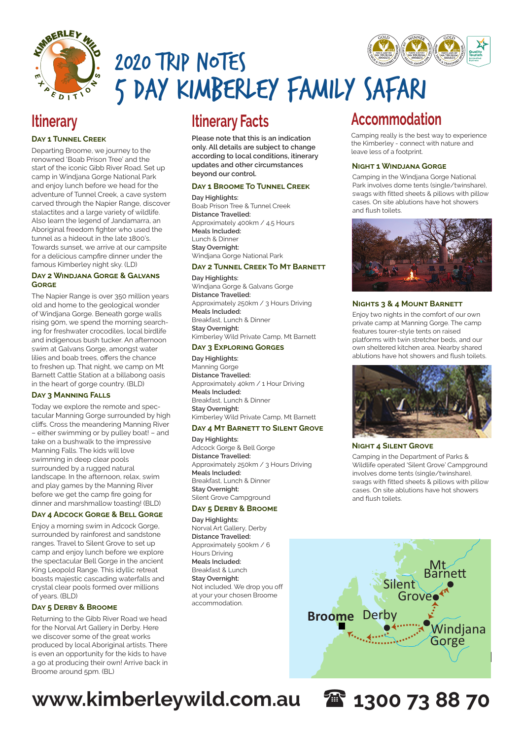

# 2020 Trip Notes 5 DAY KIMBERLEY FAMILY SAFARI

### **Day 1 Tunnel Creek**

Departing Broome, we journey to the renowned 'Boab Prison Tree' and the start of the iconic Gibb River Road. Set up camp in Windjana Gorge National Park and enjoy lunch before we head for the adventure of Tunnel Creek, a cave system carved through the Napier Range, discover stalactites and a large variety of wildlife. Also learn the legend of Jandamarra, an Aboriginal freedom fighter who used the tunnel as a hideout in the late 1800's. Towards sunset, we arrive at our campsite for a delicious campfire dinner under the famous Kimberley night sky. (LD)

### **Day 2 Windjana Gorge & Galvans Gorge**

The Napier Range is over 350 million years old and home to the geological wonder of Windjana Gorge. Beneath gorge walls rising 90m, we spend the morning searching for freshwater crocodiles, local birdlife and indigenous bush tucker. An afternoon swim at Galvans Gorge, amongst water lilies and boab trees, offers the chance to freshen up. That night, we camp on Mt Barnett Cattle Station at a billabong oasis in the heart of gorge country. (BLD)

### **Day 3 Manning Falls**

Today we explore the remote and spectacular Manning Gorge surrounded by high cliffs. Cross the meandering Manning River – either swimming or by pulley boat! – and take on a bushwalk to the impressive Manning Falls. The kids will love swimming in deep clear pools surrounded by a rugged natural landscape. In the afternoon, relax, swim and play games by the Manning River before we get the camp fire going for dinner and marshmallow toasting! (BLD)

### **Day 4 Adcock Gorge & Bell Gorge**

Enjoy a morning swim in Adcock Gorge, surrounded by rainforest and sandstone ranges. Travel to Silent Grove to set up camp and enjoy lunch before we explore the spectacular Bell Gorge in the ancient King Leopold Range. This idyllic retreat boasts majestic cascading waterfalls and crystal clear pools formed over millions of years. (BLD)

### **Day 5 Derby & Broome**

Returning to the Gibb River Road we head for the Norval Art Gallery in Derby. Here we discover some of the great works produced by local Aboriginal artists. There is even an opportunity for the kids to have a go at producing their own! Arrive back in Broome around 5pm. (BL)

**Please note that this is an indication only. All details are subject to change according to local conditions, itinerary updates and other circumstances beyond our control.**

### **Day 1 Broome To Tunnel Creek**

**Day Highlights:**  Boab Prison Tree & Tunnel Creek **Distance Travelled:**  Approximately 400km / 4.5 Hours **Meals Included:** Lunch & Dinner **Stay Overnight:**  Windjana Gorge National Park

### **DAY 2 TUNNEL CREEK TO MT BARNETT**

**Day Highlights:**  Windiana Gorge & Galvans Gorge **Distance Travelled:**  Approximately 250km / 3 Hours Driving **Meals Included:** Breakfast, Lunch & Dinner **Stay Overnight:**  Kimberley Wild Private Camp, Mt Barnett

### **Day 3 Exploring Gorges**

**Day Highlights:**  Manning Gorge **Distance Travelled:**  Approximately 40km / 1 Hour Driving **Meals Included:** Breakfast, Lunch & Dinner **Stay Overnight:**  Kimberley Wild Private Camp, Mt Barnett

### **DAY 4 MT BARNETT TO SILENT GROVE**

**Day Highlights:**  Adcock Gorge & Bell Gorge **Distance Travelled:**  Approximately 250km / 3 Hours Driving **Meals Included:** Breakfast, Lunch & Dinner **Stay Overnight:**  Silent Grove Campground **WINGHT 4 SILENT GROVE**<br> **NIGHT 4 SILENT GROVE Geikie Gorge**

### **Day 5 Derby & Broome**

**Day Highlights:** 

Norval Art Gallery, Derby **Distance Travelled:**  Approximately 500km / 6 Hours Driving **Meals Included:** Breakfast & Lunch **Stay Overnight:** Not included. We drop you off at your your chosen Broome accommodation.

### **Itinerary Facts Itinerary Accommodation**

Camping really is the best way to experience the Kimberley - connect with nature and leave less of a footprint.

### **Night 1 Windjana Gorge**

Camping in the Windjana Gorge National Park involves dome tents (single/twinshare), swags with fitted sheets & pillows with pillow cases. On site ablutions have hot showers and flush toilets.



### **Nights 3 & 4 Mount Barnett**

Enjoy two nights in the comfort of our own private camp at Manning Gorge. The camp features tourer-style tents on raised platforms with twin stretcher beds, and our own sheltered kitchen area. Nearby shared ablutions have hot showers and flush toilets.



Camping in the Department of Parks & Wildlife operated 'Silent Grove' Campground involves dome tents (single/twinshare), swags with fitted sheets & pillows with pillow cases. On site ablutions have hot showers and flush toilets.



**Fig. 1300 73 88 70** 

## **www.kimberleywild.com.au 1300 73 88 70**